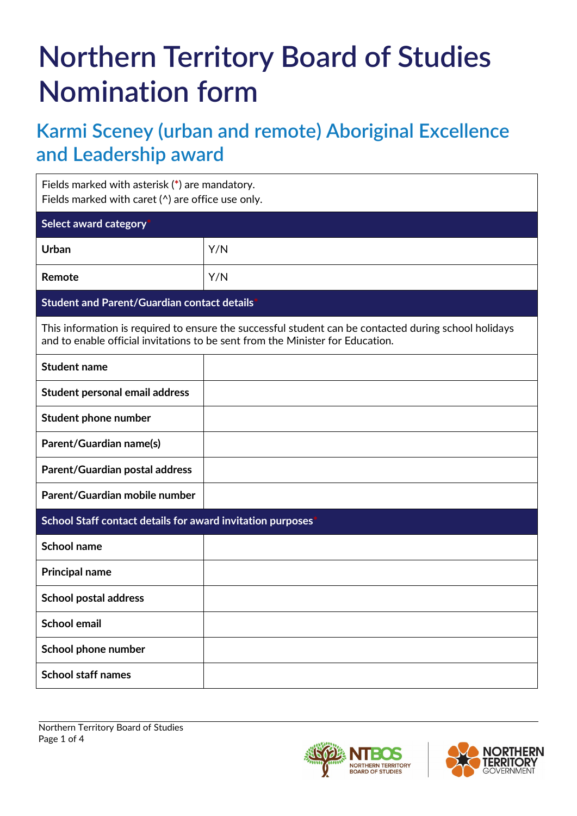# **Northern Territory Board of Studies Nomination form**

## **Karmi Sceney (urban and remote) Aboriginal Excellence and Leadership award**

| Fields marked with asterisk (*) are mandatory.<br>Fields marked with caret $(^\wedge)$ are office use only.                                                                             |     |  |
|-----------------------------------------------------------------------------------------------------------------------------------------------------------------------------------------|-----|--|
| Select award category                                                                                                                                                                   |     |  |
| Urban                                                                                                                                                                                   | Y/N |  |
| Remote                                                                                                                                                                                  | Y/N |  |
| Student and Parent/Guardian contact details                                                                                                                                             |     |  |
| This information is required to ensure the successful student can be contacted during school holidays<br>and to enable official invitations to be sent from the Minister for Education. |     |  |
| <b>Student name</b>                                                                                                                                                                     |     |  |
| Student personal email address                                                                                                                                                          |     |  |
| <b>Student phone number</b>                                                                                                                                                             |     |  |
| Parent/Guardian name(s)                                                                                                                                                                 |     |  |
| Parent/Guardian postal address                                                                                                                                                          |     |  |
| Parent/Guardian mobile number                                                                                                                                                           |     |  |
| School Staff contact details for award invitation purposes                                                                                                                              |     |  |
| <b>School name</b>                                                                                                                                                                      |     |  |
| <b>Principal name</b>                                                                                                                                                                   |     |  |
| <b>School postal address</b>                                                                                                                                                            |     |  |
| <b>School email</b>                                                                                                                                                                     |     |  |
| School phone number                                                                                                                                                                     |     |  |
| <b>School staff names</b>                                                                                                                                                               |     |  |



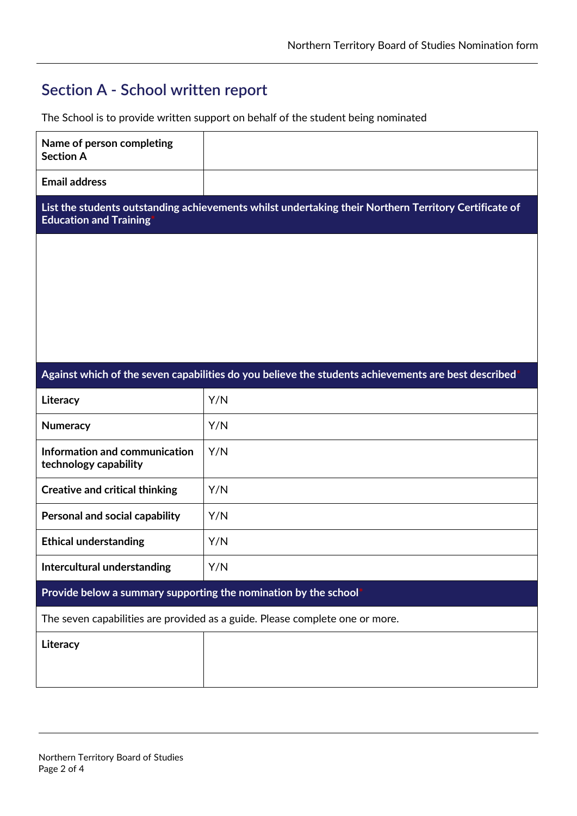#### **Section A - School written report**

The School is to provide written support on behalf of the student being nominated

| Name of person completing<br><b>Section A</b>                                                                                          |                                                                                                     |  |
|----------------------------------------------------------------------------------------------------------------------------------------|-----------------------------------------------------------------------------------------------------|--|
| <b>Email address</b>                                                                                                                   |                                                                                                     |  |
| List the students outstanding achievements whilst undertaking their Northern Territory Certificate of<br><b>Education and Training</b> |                                                                                                     |  |
|                                                                                                                                        |                                                                                                     |  |
|                                                                                                                                        |                                                                                                     |  |
|                                                                                                                                        |                                                                                                     |  |
|                                                                                                                                        |                                                                                                     |  |
|                                                                                                                                        |                                                                                                     |  |
|                                                                                                                                        | Against which of the seven capabilities do you believe the students achievements are best described |  |
| Literacy                                                                                                                               | Y/N                                                                                                 |  |
| <b>Numeracy</b>                                                                                                                        | Y/N                                                                                                 |  |
| Information and communication<br>technology capability                                                                                 | Y/N                                                                                                 |  |
| <b>Creative and critical thinking</b>                                                                                                  | Y/N                                                                                                 |  |
| Personal and social capability                                                                                                         | Y/N                                                                                                 |  |
| <b>Ethical understanding</b>                                                                                                           | Y/N                                                                                                 |  |
| Intercultural understanding                                                                                                            | Y/N                                                                                                 |  |
| Provide below a summary supporting the nomination by the school                                                                        |                                                                                                     |  |
| The seven capabilities are provided as a guide. Please complete one or more.                                                           |                                                                                                     |  |
| Literacy                                                                                                                               |                                                                                                     |  |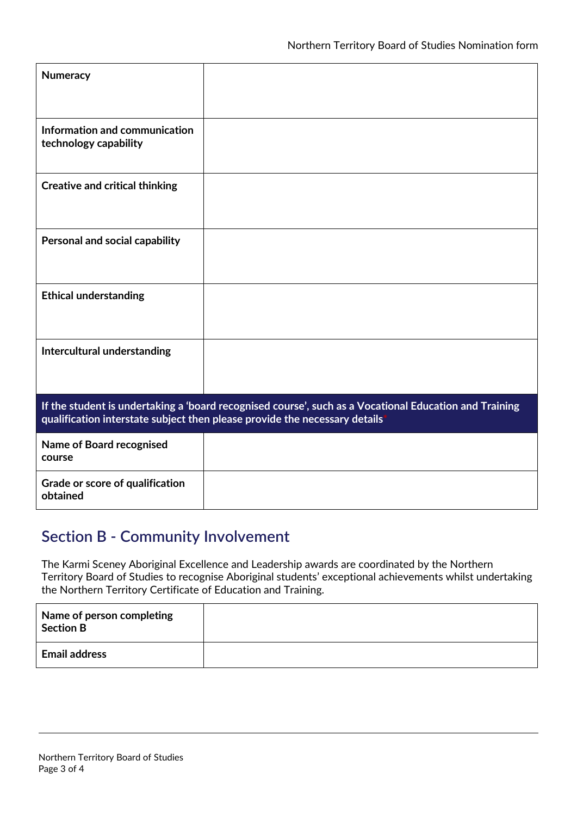| <b>Numeracy</b>                                                                                                                                                                      |  |
|--------------------------------------------------------------------------------------------------------------------------------------------------------------------------------------|--|
| Information and communication<br>technology capability                                                                                                                               |  |
| <b>Creative and critical thinking</b>                                                                                                                                                |  |
| Personal and social capability                                                                                                                                                       |  |
| <b>Ethical understanding</b>                                                                                                                                                         |  |
| Intercultural understanding                                                                                                                                                          |  |
| If the student is undertaking a 'board recognised course', such as a Vocational Education and Training<br>qualification interstate subject then please provide the necessary details |  |
| <b>Name of Board recognised</b><br>course                                                                                                                                            |  |
| Grade or score of qualification<br>obtained                                                                                                                                          |  |

#### **Section B - Community Involvement**

The Karmi Sceney Aboriginal Excellence and Leadership awards are coordinated by the Northern Territory Board of Studies to recognise Aboriginal students' exceptional achievements whilst undertaking the Northern Territory Certificate of Education and Training.

| Name of person completing<br><b>Section B</b> |  |
|-----------------------------------------------|--|
| <b>Email address</b>                          |  |